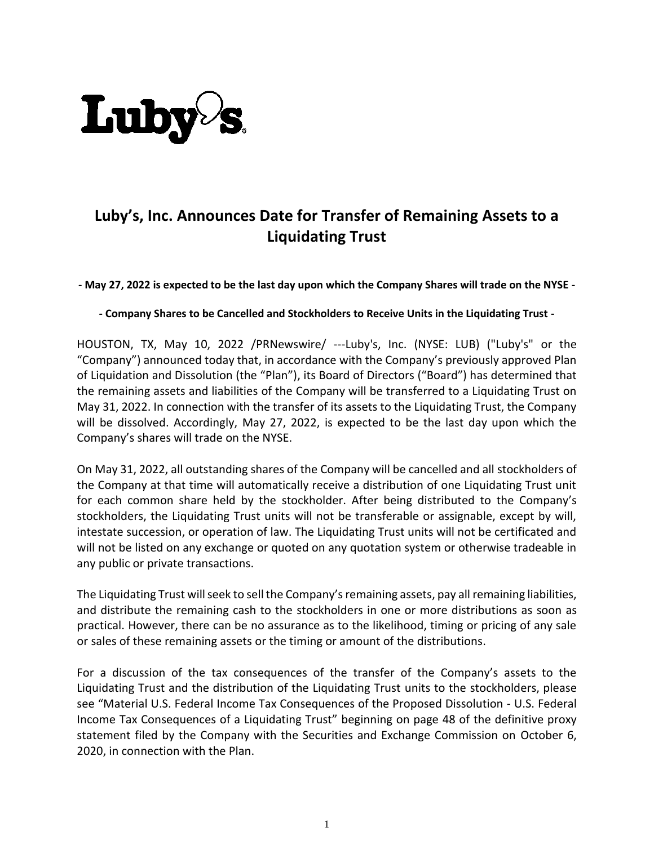

## **Luby's, Inc. Announces Date for Transfer of Remaining Assets to a Liquidating Trust**

**- May 27, 2022 is expected to be the last day upon which the Company Shares will trade on the NYSE -**

**- Company Shares to be Cancelled and Stockholders to Receive Units in the Liquidating Trust -**

HOUSTON, TX, May 10, 2022 /PRNewswire/ ---Luby's, Inc. (NYSE: LUB) ("Luby's" or the "Company") announced today that, in accordance with the Company's previously approved Plan of Liquidation and Dissolution (the "Plan"), its Board of Directors ("Board") has determined that the remaining assets and liabilities of the Company will be transferred to a Liquidating Trust on May 31, 2022. In connection with the transfer of its assets to the Liquidating Trust, the Company will be dissolved. Accordingly, May 27, 2022, is expected to be the last day upon which the Company's shares will trade on the NYSE.

On May 31, 2022, all outstanding shares of the Company will be cancelled and all stockholders of the Company at that time will automatically receive a distribution of one Liquidating Trust unit for each common share held by the stockholder. After being distributed to the Company's stockholders, the Liquidating Trust units will not be transferable or assignable, except by will, intestate succession, or operation of law. The Liquidating Trust units will not be certificated and will not be listed on any exchange or quoted on any quotation system or otherwise tradeable in any public or private transactions.

The Liquidating Trust will seek to sell the Company's remaining assets, pay all remaining liabilities, and distribute the remaining cash to the stockholders in one or more distributions as soon as practical. However, there can be no assurance as to the likelihood, timing or pricing of any sale or sales of these remaining assets or the timing or amount of the distributions.

For a discussion of the tax consequences of the transfer of the Company's assets to the Liquidating Trust and the distribution of the Liquidating Trust units to the stockholders, please see "Material U.S. Federal Income Tax Consequences of the Proposed Dissolution - U.S. Federal Income Tax Consequences of a Liquidating Trust" beginning on page 48 of the definitive proxy statement filed by the Company with the Securities and Exchange Commission on October 6, 2020, in connection with the Plan.